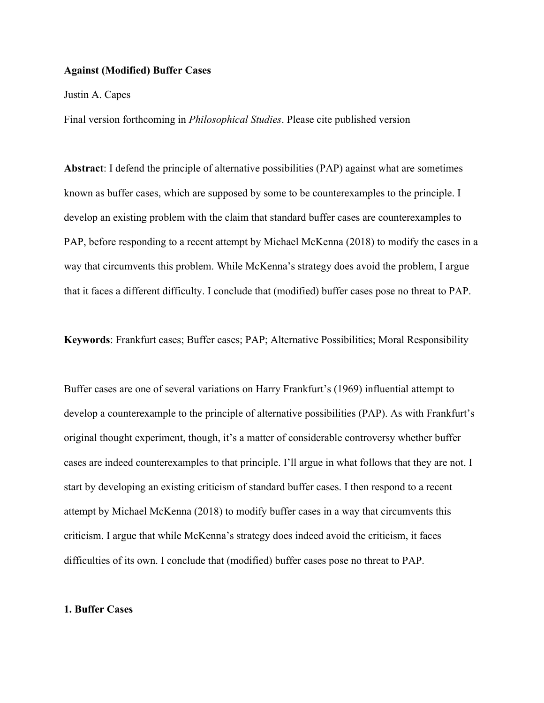#### **Against (Modified) Buffer Cases**

## Justin A. Capes

Final version forthcoming in *Philosophical Studies*. Please cite published version

**Abstract**: I defend the principle of alternative possibilities (PAP) against what are sometimes known as buffer cases, which are supposed by some to be counterexamples to the principle. I develop an existing problem with the claim that standard buffer cases are counterexamples to PAP, before responding to a recent attempt by Michael McKenna (2018) to modify the cases in a way that circumvents this problem. While McKenna's strategy does avoid the problem, I argue that it faces a different difficulty. I conclude that (modified) buffer cases pose no threat to PAP.

**Keywords**: Frankfurt cases; Buffer cases; PAP; Alternative Possibilities; Moral Responsibility

Buffer cases are one of several variations on Harry Frankfurt's (1969) influential attempt to develop a counterexample to the principle of alternative possibilities (PAP). As with Frankfurt's original thought experiment, though, it's a matter of considerable controversy whether buffer cases are indeed counterexamples to that principle. I'll argue in what follows that they are not. I start by developing an existing criticism of standard buffer cases. I then respond to a recent attempt by Michael McKenna (2018) to modify buffer cases in a way that circumvents this criticism. I argue that while McKenna's strategy does indeed avoid the criticism, it faces difficulties of its own. I conclude that (modified) buffer cases pose no threat to PAP.

## **1. Buffer Cases**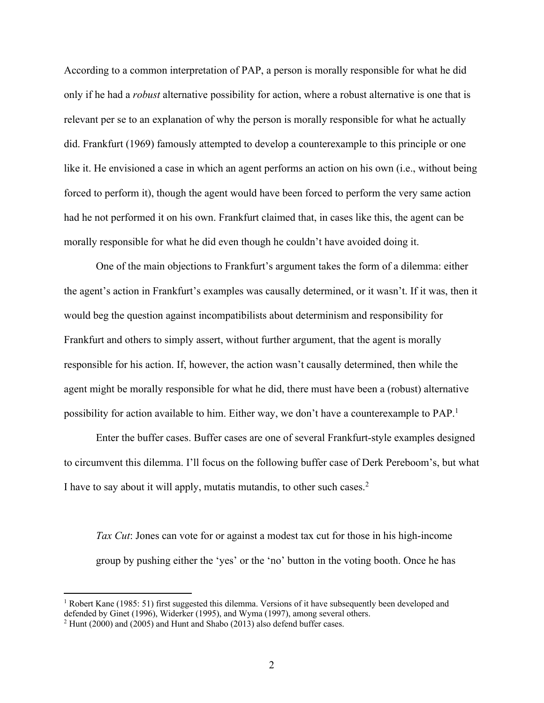According to a common interpretation of PAP, a person is morally responsible for what he did only if he had a *robust* alternative possibility for action, where a robust alternative is one that is relevant per se to an explanation of why the person is morally responsible for what he actually did. Frankfurt (1969) famously attempted to develop a counterexample to this principle or one like it. He envisioned a case in which an agent performs an action on his own (i.e., without being forced to perform it), though the agent would have been forced to perform the very same action had he not performed it on his own. Frankfurt claimed that, in cases like this, the agent can be morally responsible for what he did even though he couldn't have avoided doing it.

One of the main objections to Frankfurt's argument takes the form of a dilemma: either the agent's action in Frankfurt's examples was causally determined, or it wasn't. If it was, then it would beg the question against incompatibilists about determinism and responsibility for Frankfurt and others to simply assert, without further argument, that the agent is morally responsible for his action. If, however, the action wasn't causally determined, then while the agent might be morally responsible for what he did, there must have been a (robust) alternative possibility for action available to him. Either way, we don't have a counterexample to PAP.1

Enter the buffer cases. Buffer cases are one of several Frankfurt-style examples designed to circumvent this dilemma. I'll focus on the following buffer case of Derk Pereboom's, but what I have to say about it will apply, mutatis mutandis, to other such cases.<sup>2</sup>

*Tax Cut*: Jones can vote for or against a modest tax cut for those in his high-income group by pushing either the 'yes' or the 'no' button in the voting booth. Once he has

<sup>&</sup>lt;sup>1</sup> Robert Kane (1985: 51) first suggested this dilemma. Versions of it have subsequently been developed and defended by Ginet (1996), Widerker (1995), and Wyma (1997), among several others.

 $2$  Hunt (2000) and (2005) and Hunt and Shabo (2013) also defend buffer cases.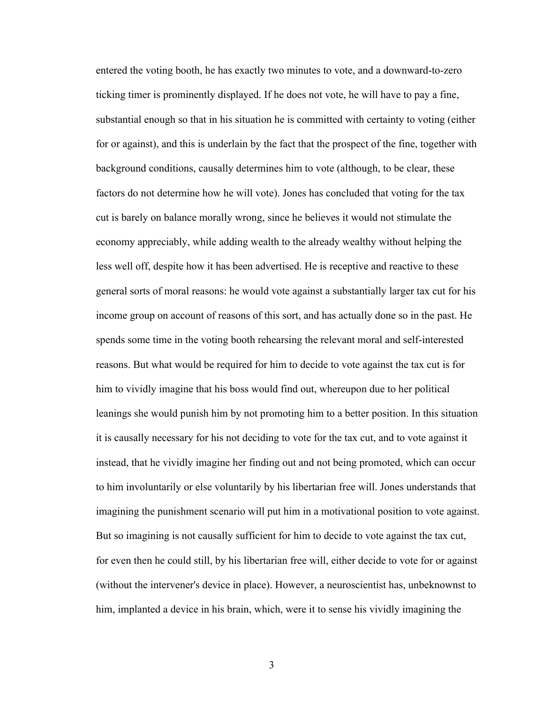entered the voting booth, he has exactly two minutes to vote, and a downward-to-zero ticking timer is prominently displayed. If he does not vote, he will have to pay a fine, substantial enough so that in his situation he is committed with certainty to voting (either for or against), and this is underlain by the fact that the prospect of the fine, together with background conditions, causally determines him to vote (although, to be clear, these factors do not determine how he will vote). Jones has concluded that voting for the tax cut is barely on balance morally wrong, since he believes it would not stimulate the economy appreciably, while adding wealth to the already wealthy without helping the less well off, despite how it has been advertised. He is receptive and reactive to these general sorts of moral reasons: he would vote against a substantially larger tax cut for his income group on account of reasons of this sort, and has actually done so in the past. He spends some time in the voting booth rehearsing the relevant moral and self-interested reasons. But what would be required for him to decide to vote against the tax cut is for him to vividly imagine that his boss would find out, whereupon due to her political leanings she would punish him by not promoting him to a better position. In this situation it is causally necessary for his not deciding to vote for the tax cut, and to vote against it instead, that he vividly imagine her finding out and not being promoted, which can occur to him involuntarily or else voluntarily by his libertarian free will. Jones understands that imagining the punishment scenario will put him in a motivational position to vote against. But so imagining is not causally sufficient for him to decide to vote against the tax cut, for even then he could still, by his libertarian free will, either decide to vote for or against (without the intervener's device in place). However, a neuroscientist has, unbeknownst to him, implanted a device in his brain, which, were it to sense his vividly imagining the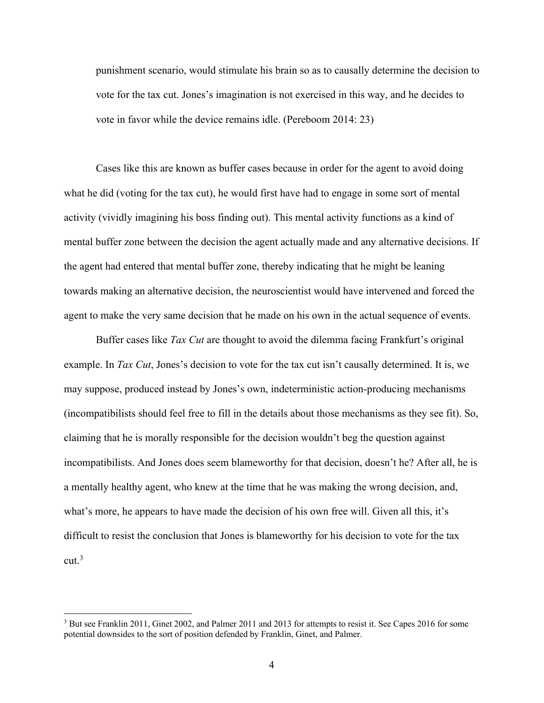punishment scenario, would stimulate his brain so as to causally determine the decision to vote for the tax cut. Jones's imagination is not exercised in this way, and he decides to vote in favor while the device remains idle. (Pereboom 2014: 23)

Cases like this are known as buffer cases because in order for the agent to avoid doing what he did (voting for the tax cut), he would first have had to engage in some sort of mental activity (vividly imagining his boss finding out). This mental activity functions as a kind of mental buffer zone between the decision the agent actually made and any alternative decisions. If the agent had entered that mental buffer zone, thereby indicating that he might be leaning towards making an alternative decision, the neuroscientist would have intervened and forced the agent to make the very same decision that he made on his own in the actual sequence of events.

Buffer cases like *Tax Cut* are thought to avoid the dilemma facing Frankfurt's original example. In *Tax Cut*, Jones's decision to vote for the tax cut isn't causally determined. It is, we may suppose, produced instead by Jones's own, indeterministic action-producing mechanisms (incompatibilists should feel free to fill in the details about those mechanisms as they see fit). So, claiming that he is morally responsible for the decision wouldn't beg the question against incompatibilists. And Jones does seem blameworthy for that decision, doesn't he? After all, he is a mentally healthy agent, who knew at the time that he was making the wrong decision, and, what's more, he appears to have made the decision of his own free will. Given all this, it's difficult to resist the conclusion that Jones is blameworthy for his decision to vote for the tax cut. $3$ 

<sup>&</sup>lt;sup>3</sup> But see Franklin 2011, Ginet 2002, and Palmer 2011 and 2013 for attempts to resist it. See Capes 2016 for some potential downsides to the sort of position defended by Franklin, Ginet, and Palmer.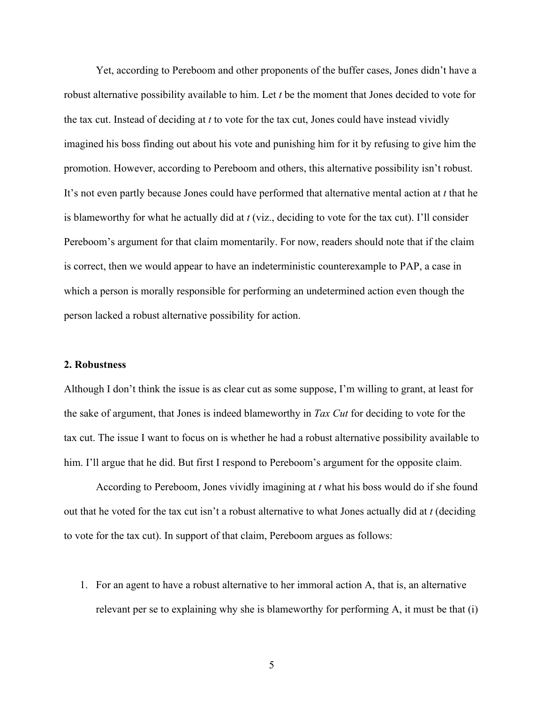Yet, according to Pereboom and other proponents of the buffer cases, Jones didn't have a robust alternative possibility available to him. Let *t* be the moment that Jones decided to vote for the tax cut. Instead of deciding at *t* to vote for the tax cut, Jones could have instead vividly imagined his boss finding out about his vote and punishing him for it by refusing to give him the promotion. However, according to Pereboom and others, this alternative possibility isn't robust. It's not even partly because Jones could have performed that alternative mental action at *t* that he is blameworthy for what he actually did at *t* (viz., deciding to vote for the tax cut). I'll consider Pereboom's argument for that claim momentarily. For now, readers should note that if the claim is correct, then we would appear to have an indeterministic counterexample to PAP, a case in which a person is morally responsible for performing an undetermined action even though the person lacked a robust alternative possibility for action.

### **2. Robustness**

Although I don't think the issue is as clear cut as some suppose, I'm willing to grant, at least for the sake of argument, that Jones is indeed blameworthy in *Tax Cut* for deciding to vote for the tax cut. The issue I want to focus on is whether he had a robust alternative possibility available to him. I'll argue that he did. But first I respond to Pereboom's argument for the opposite claim.

According to Pereboom, Jones vividly imagining at *t* what his boss would do if she found out that he voted for the tax cut isn't a robust alternative to what Jones actually did at *t* (deciding to vote for the tax cut). In support of that claim, Pereboom argues as follows:

1. For an agent to have a robust alternative to her immoral action A, that is, an alternative relevant per se to explaining why she is blameworthy for performing A, it must be that (i)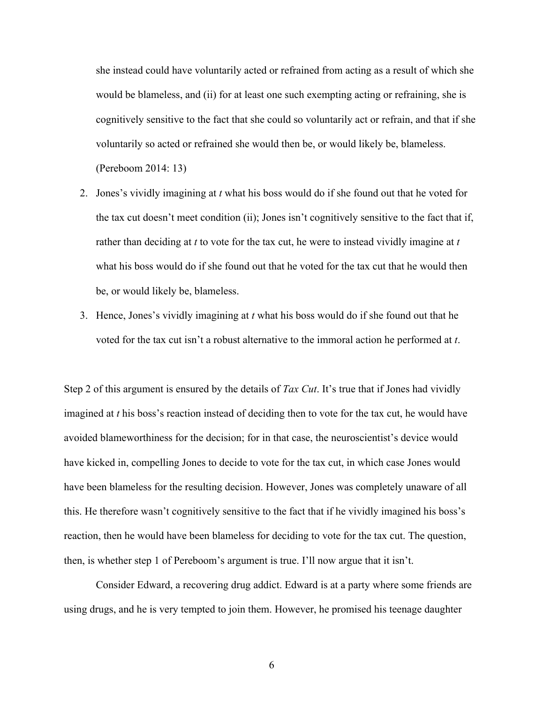she instead could have voluntarily acted or refrained from acting as a result of which she would be blameless, and (ii) for at least one such exempting acting or refraining, she is cognitively sensitive to the fact that she could so voluntarily act or refrain, and that if she voluntarily so acted or refrained she would then be, or would likely be, blameless. (Pereboom 2014: 13)

- 2. Jones's vividly imagining at *t* what his boss would do if she found out that he voted for the tax cut doesn't meet condition (ii); Jones isn't cognitively sensitive to the fact that if, rather than deciding at *t* to vote for the tax cut, he were to instead vividly imagine at *t* what his boss would do if she found out that he voted for the tax cut that he would then be, or would likely be, blameless.
- 3. Hence, Jones's vividly imagining at *t* what his boss would do if she found out that he voted for the tax cut isn't a robust alternative to the immoral action he performed at *t*.

Step 2 of this argument is ensured by the details of *Tax Cut*. It's true that if Jones had vividly imagined at *t* his boss's reaction instead of deciding then to vote for the tax cut, he would have avoided blameworthiness for the decision; for in that case, the neuroscientist's device would have kicked in, compelling Jones to decide to vote for the tax cut, in which case Jones would have been blameless for the resulting decision. However, Jones was completely unaware of all this. He therefore wasn't cognitively sensitive to the fact that if he vividly imagined his boss's reaction, then he would have been blameless for deciding to vote for the tax cut. The question, then, is whether step 1 of Pereboom's argument is true. I'll now argue that it isn't.

Consider Edward, a recovering drug addict. Edward is at a party where some friends are using drugs, and he is very tempted to join them. However, he promised his teenage daughter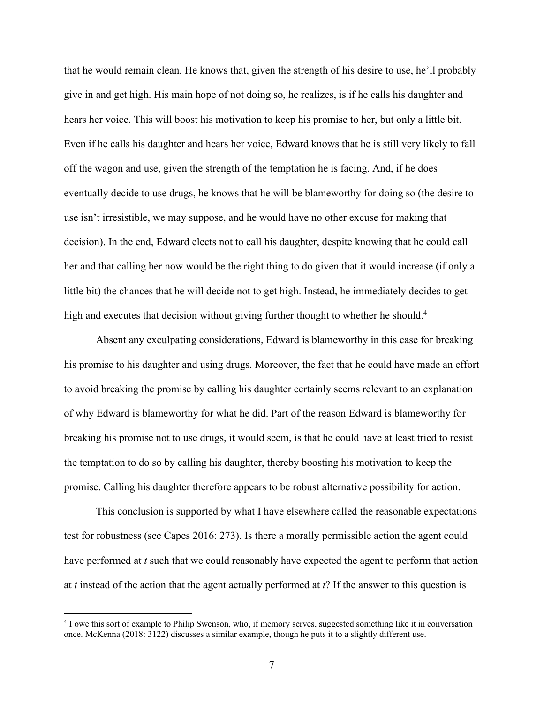that he would remain clean. He knows that, given the strength of his desire to use, he'll probably give in and get high. His main hope of not doing so, he realizes, is if he calls his daughter and hears her voice. This will boost his motivation to keep his promise to her, but only a little bit. Even if he calls his daughter and hears her voice, Edward knows that he is still very likely to fall off the wagon and use, given the strength of the temptation he is facing. And, if he does eventually decide to use drugs, he knows that he will be blameworthy for doing so (the desire to use isn't irresistible, we may suppose, and he would have no other excuse for making that decision). In the end, Edward elects not to call his daughter, despite knowing that he could call her and that calling her now would be the right thing to do given that it would increase (if only a little bit) the chances that he will decide not to get high. Instead, he immediately decides to get high and executes that decision without giving further thought to whether he should.<sup>4</sup>

Absent any exculpating considerations, Edward is blameworthy in this case for breaking his promise to his daughter and using drugs. Moreover, the fact that he could have made an effort to avoid breaking the promise by calling his daughter certainly seems relevant to an explanation of why Edward is blameworthy for what he did. Part of the reason Edward is blameworthy for breaking his promise not to use drugs, it would seem, is that he could have at least tried to resist the temptation to do so by calling his daughter, thereby boosting his motivation to keep the promise. Calling his daughter therefore appears to be robust alternative possibility for action.

This conclusion is supported by what I have elsewhere called the reasonable expectations test for robustness (see Capes 2016: 273). Is there a morally permissible action the agent could have performed at *t* such that we could reasonably have expected the agent to perform that action at *t* instead of the action that the agent actually performed at *t*? If the answer to this question is

<sup>&</sup>lt;sup>4</sup> I owe this sort of example to Philip Swenson, who, if memory serves, suggested something like it in conversation once. McKenna (2018: 3122) discusses a similar example, though he puts it to a slightly different use.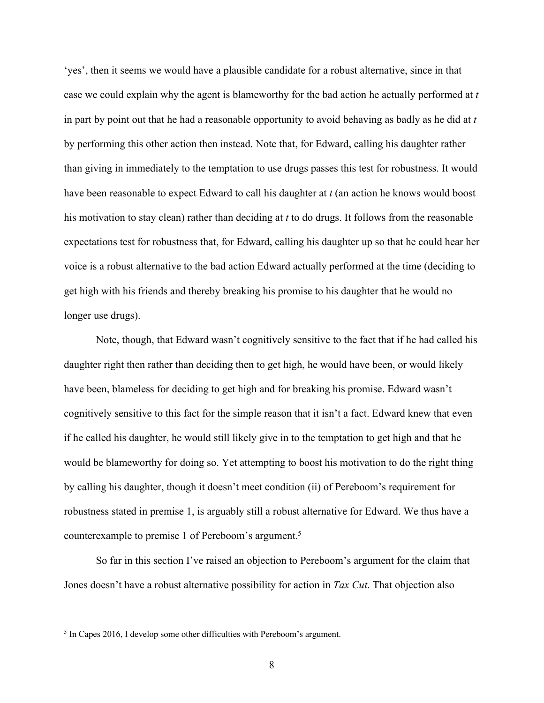'yes', then it seems we would have a plausible candidate for a robust alternative, since in that case we could explain why the agent is blameworthy for the bad action he actually performed at *t* in part by point out that he had a reasonable opportunity to avoid behaving as badly as he did at *t* by performing this other action then instead. Note that, for Edward, calling his daughter rather than giving in immediately to the temptation to use drugs passes this test for robustness. It would have been reasonable to expect Edward to call his daughter at *t* (an action he knows would boost his motivation to stay clean) rather than deciding at *t* to do drugs. It follows from the reasonable expectations test for robustness that, for Edward, calling his daughter up so that he could hear her voice is a robust alternative to the bad action Edward actually performed at the time (deciding to get high with his friends and thereby breaking his promise to his daughter that he would no longer use drugs).

Note, though, that Edward wasn't cognitively sensitive to the fact that if he had called his daughter right then rather than deciding then to get high, he would have been, or would likely have been, blameless for deciding to get high and for breaking his promise. Edward wasn't cognitively sensitive to this fact for the simple reason that it isn't a fact. Edward knew that even if he called his daughter, he would still likely give in to the temptation to get high and that he would be blameworthy for doing so. Yet attempting to boost his motivation to do the right thing by calling his daughter, though it doesn't meet condition (ii) of Pereboom's requirement for robustness stated in premise 1, is arguably still a robust alternative for Edward. We thus have a counterexample to premise 1 of Pereboom's argument.5

So far in this section I've raised an objection to Pereboom's argument for the claim that Jones doesn't have a robust alternative possibility for action in *Tax Cut*. That objection also

<sup>&</sup>lt;sup>5</sup> In Capes 2016, I develop some other difficulties with Pereboom's argument.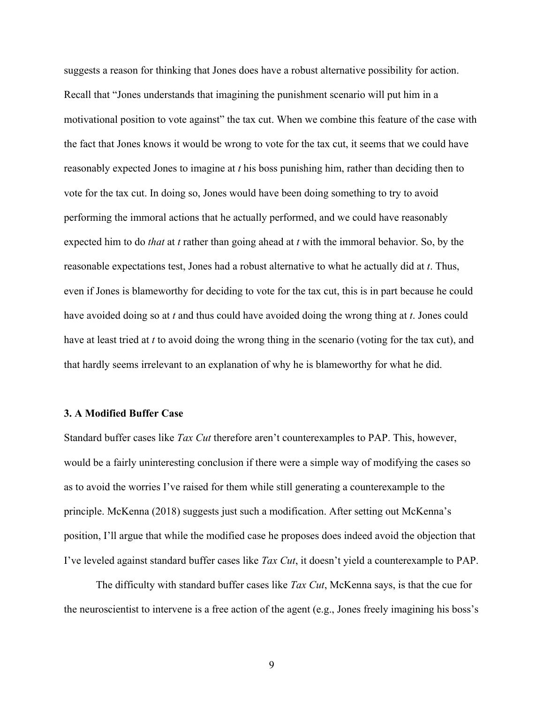suggests a reason for thinking that Jones does have a robust alternative possibility for action. Recall that "Jones understands that imagining the punishment scenario will put him in a motivational position to vote against" the tax cut. When we combine this feature of the case with the fact that Jones knows it would be wrong to vote for the tax cut, it seems that we could have reasonably expected Jones to imagine at *t* his boss punishing him, rather than deciding then to vote for the tax cut. In doing so, Jones would have been doing something to try to avoid performing the immoral actions that he actually performed, and we could have reasonably expected him to do *that* at *t* rather than going ahead at *t* with the immoral behavior. So, by the reasonable expectations test, Jones had a robust alternative to what he actually did at *t*. Thus, even if Jones is blameworthy for deciding to vote for the tax cut, this is in part because he could have avoided doing so at *t* and thus could have avoided doing the wrong thing at *t*. Jones could have at least tried at *t* to avoid doing the wrong thing in the scenario (voting for the tax cut), and that hardly seems irrelevant to an explanation of why he is blameworthy for what he did.

## **3. A Modified Buffer Case**

Standard buffer cases like *Tax Cut* therefore aren't counterexamples to PAP. This, however, would be a fairly uninteresting conclusion if there were a simple way of modifying the cases so as to avoid the worries I've raised for them while still generating a counterexample to the principle. McKenna (2018) suggests just such a modification. After setting out McKenna's position, I'll argue that while the modified case he proposes does indeed avoid the objection that I've leveled against standard buffer cases like *Tax Cut*, it doesn't yield a counterexample to PAP.

The difficulty with standard buffer cases like *Tax Cut*, McKenna says, is that the cue for the neuroscientist to intervene is a free action of the agent (e.g., Jones freely imagining his boss's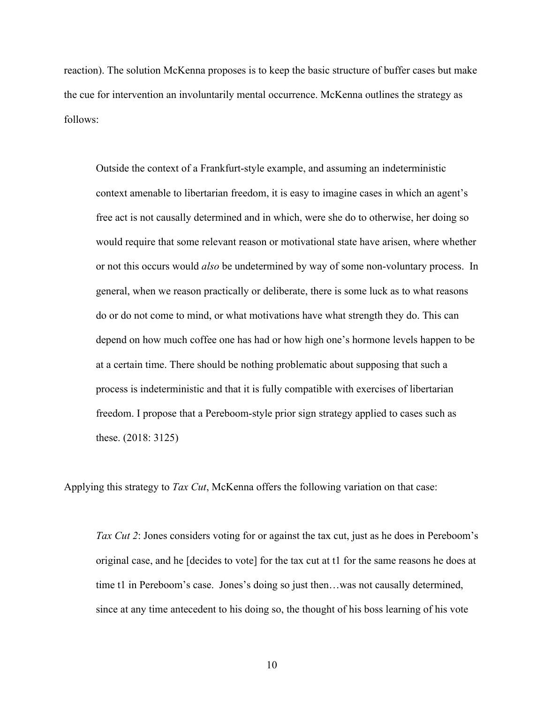reaction). The solution McKenna proposes is to keep the basic structure of buffer cases but make the cue for intervention an involuntarily mental occurrence. McKenna outlines the strategy as follows:

Outside the context of a Frankfurt-style example, and assuming an indeterministic context amenable to libertarian freedom, it is easy to imagine cases in which an agent's free act is not causally determined and in which, were she do to otherwise, her doing so would require that some relevant reason or motivational state have arisen, where whether or not this occurs would *also* be undetermined by way of some non-voluntary process. In general, when we reason practically or deliberate, there is some luck as to what reasons do or do not come to mind, or what motivations have what strength they do. This can depend on how much coffee one has had or how high one's hormone levels happen to be at a certain time. There should be nothing problematic about supposing that such a process is indeterministic and that it is fully compatible with exercises of libertarian freedom. I propose that a Pereboom-style prior sign strategy applied to cases such as these. (2018: 3125)

Applying this strategy to *Tax Cut*, McKenna offers the following variation on that case:

*Tax Cut 2*: Jones considers voting for or against the tax cut, just as he does in Pereboom's original case, and he [decides to vote] for the tax cut at t1 for the same reasons he does at time t1 in Pereboom's case. Jones's doing so just then…was not causally determined, since at any time antecedent to his doing so, the thought of his boss learning of his vote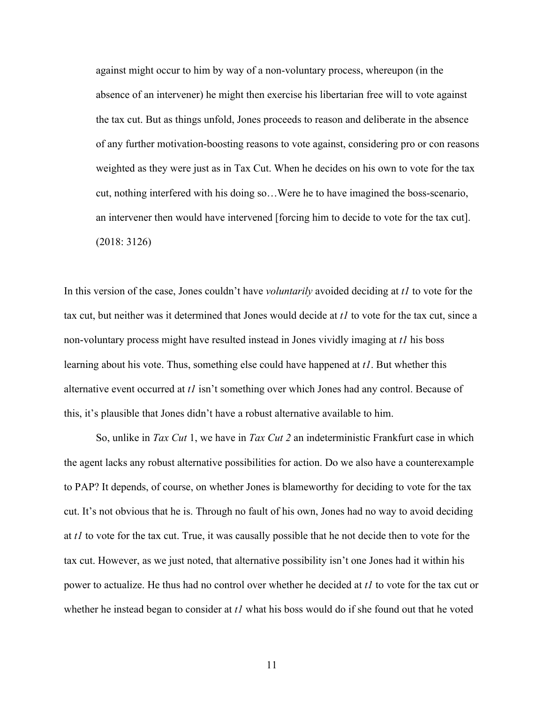against might occur to him by way of a non-voluntary process, whereupon (in the absence of an intervener) he might then exercise his libertarian free will to vote against the tax cut. But as things unfold, Jones proceeds to reason and deliberate in the absence of any further motivation-boosting reasons to vote against, considering pro or con reasons weighted as they were just as in Tax Cut. When he decides on his own to vote for the tax cut, nothing interfered with his doing so…Were he to have imagined the boss-scenario, an intervener then would have intervened [forcing him to decide to vote for the tax cut]. (2018: 3126)

In this version of the case, Jones couldn't have *voluntarily* avoided deciding at *t1* to vote for the tax cut, but neither was it determined that Jones would decide at *t1* to vote for the tax cut, since a non-voluntary process might have resulted instead in Jones vividly imaging at *t1* his boss learning about his vote. Thus, something else could have happened at *t1*. But whether this alternative event occurred at *t1* isn't something over which Jones had any control. Because of this, it's plausible that Jones didn't have a robust alternative available to him.

So, unlike in *Tax Cut* 1, we have in *Tax Cut 2* an indeterministic Frankfurt case in which the agent lacks any robust alternative possibilities for action. Do we also have a counterexample to PAP? It depends, of course, on whether Jones is blameworthy for deciding to vote for the tax cut. It's not obvious that he is. Through no fault of his own, Jones had no way to avoid deciding at *t1* to vote for the tax cut. True, it was causally possible that he not decide then to vote for the tax cut. However, as we just noted, that alternative possibility isn't one Jones had it within his power to actualize. He thus had no control over whether he decided at *t1* to vote for the tax cut or whether he instead began to consider at *t1* what his boss would do if she found out that he voted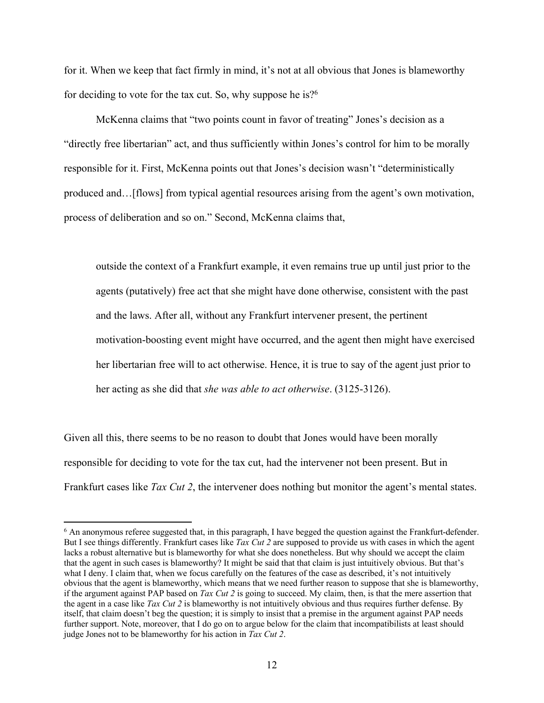for it. When we keep that fact firmly in mind, it's not at all obvious that Jones is blameworthy for deciding to vote for the tax cut. So, why suppose he is? $6<sup>6</sup>$ 

McKenna claims that "two points count in favor of treating" Jones's decision as a "directly free libertarian" act, and thus sufficiently within Jones's control for him to be morally responsible for it. First, McKenna points out that Jones's decision wasn't "deterministically produced and…[flows] from typical agential resources arising from the agent's own motivation, process of deliberation and so on." Second, McKenna claims that,

outside the context of a Frankfurt example, it even remains true up until just prior to the agents (putatively) free act that she might have done otherwise, consistent with the past and the laws. After all, without any Frankfurt intervener present, the pertinent motivation-boosting event might have occurred, and the agent then might have exercised her libertarian free will to act otherwise. Hence, it is true to say of the agent just prior to her acting as she did that *she was able to act otherwise*. (3125-3126).

Given all this, there seems to be no reason to doubt that Jones would have been morally responsible for deciding to vote for the tax cut, had the intervener not been present. But in Frankfurt cases like *Tax Cut 2*, the intervener does nothing but monitor the agent's mental states.

<sup>&</sup>lt;sup>6</sup> An anonymous referee suggested that, in this paragraph, I have begged the question against the Frankfurt-defender. But I see things differently. Frankfurt cases like *Tax Cut 2* are supposed to provide us with cases in which the agent lacks a robust alternative but is blameworthy for what she does nonetheless. But why should we accept the claim that the agent in such cases is blameworthy? It might be said that that claim is just intuitively obvious. But that's what I deny. I claim that, when we focus carefully on the features of the case as described, it's not intuitively obvious that the agent is blameworthy, which means that we need further reason to suppose that she is blameworthy, if the argument against PAP based on *Tax Cut 2* is going to succeed. My claim, then, is that the mere assertion that the agent in a case like *Tax Cut 2* is blameworthy is not intuitively obvious and thus requires further defense. By itself, that claim doesn't beg the question; it is simply to insist that a premise in the argument against PAP needs further support. Note, moreover, that I do go on to argue below for the claim that incompatibilists at least should judge Jones not to be blameworthy for his action in *Tax Cut 2*.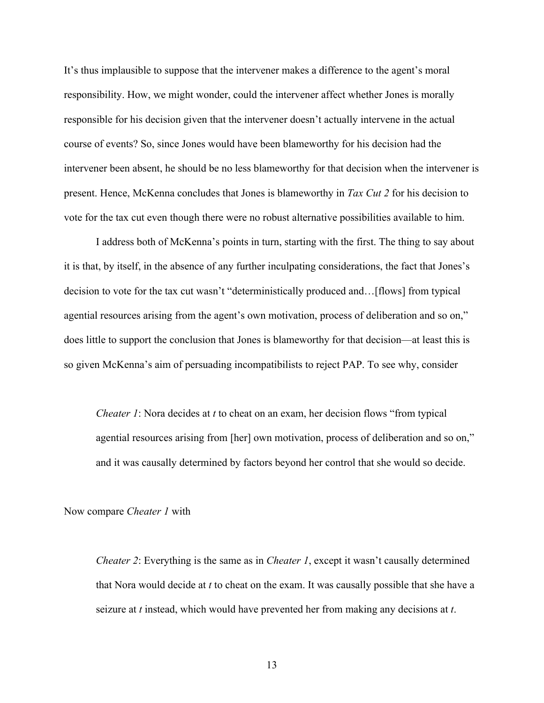It's thus implausible to suppose that the intervener makes a difference to the agent's moral responsibility. How, we might wonder, could the intervener affect whether Jones is morally responsible for his decision given that the intervener doesn't actually intervene in the actual course of events? So, since Jones would have been blameworthy for his decision had the intervener been absent, he should be no less blameworthy for that decision when the intervener is present. Hence, McKenna concludes that Jones is blameworthy in *Tax Cut 2* for his decision to vote for the tax cut even though there were no robust alternative possibilities available to him.

I address both of McKenna's points in turn, starting with the first. The thing to say about it is that, by itself, in the absence of any further inculpating considerations, the fact that Jones's decision to vote for the tax cut wasn't "deterministically produced and…[flows] from typical agential resources arising from the agent's own motivation, process of deliberation and so on," does little to support the conclusion that Jones is blameworthy for that decision—at least this is so given McKenna's aim of persuading incompatibilists to reject PAP. To see why, consider

*Cheater 1*: Nora decides at *t* to cheat on an exam, her decision flows "from typical agential resources arising from [her] own motivation, process of deliberation and so on," and it was causally determined by factors beyond her control that she would so decide.

Now compare *Cheater 1* with

*Cheater 2*: Everything is the same as in *Cheater 1*, except it wasn't causally determined that Nora would decide at *t* to cheat on the exam. It was causally possible that she have a seizure at *t* instead, which would have prevented her from making any decisions at *t*.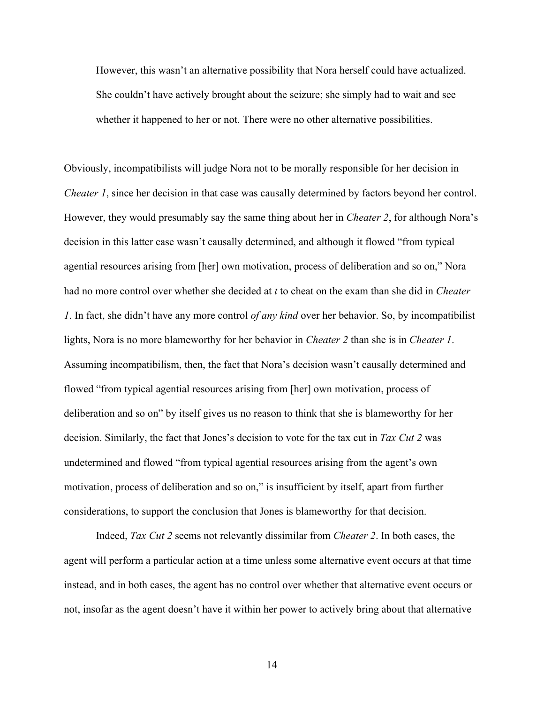However, this wasn't an alternative possibility that Nora herself could have actualized. She couldn't have actively brought about the seizure; she simply had to wait and see whether it happened to her or not. There were no other alternative possibilities.

Obviously, incompatibilists will judge Nora not to be morally responsible for her decision in *Cheater 1*, since her decision in that case was causally determined by factors beyond her control. However, they would presumably say the same thing about her in *Cheater 2*, for although Nora's decision in this latter case wasn't causally determined, and although it flowed "from typical agential resources arising from [her] own motivation, process of deliberation and so on," Nora had no more control over whether she decided at *t* to cheat on the exam than she did in *Cheater 1*. In fact, she didn't have any more control *of any kind* over her behavior. So, by incompatibilist lights, Nora is no more blameworthy for her behavior in *Cheater 2* than she is in *Cheater 1*. Assuming incompatibilism, then, the fact that Nora's decision wasn't causally determined and flowed "from typical agential resources arising from [her] own motivation, process of deliberation and so on" by itself gives us no reason to think that she is blameworthy for her decision. Similarly, the fact that Jones's decision to vote for the tax cut in *Tax Cut 2* was undetermined and flowed "from typical agential resources arising from the agent's own motivation, process of deliberation and so on," is insufficient by itself, apart from further considerations, to support the conclusion that Jones is blameworthy for that decision.

Indeed, *Tax Cut 2* seems not relevantly dissimilar from *Cheater 2*. In both cases, the agent will perform a particular action at a time unless some alternative event occurs at that time instead, and in both cases, the agent has no control over whether that alternative event occurs or not, insofar as the agent doesn't have it within her power to actively bring about that alternative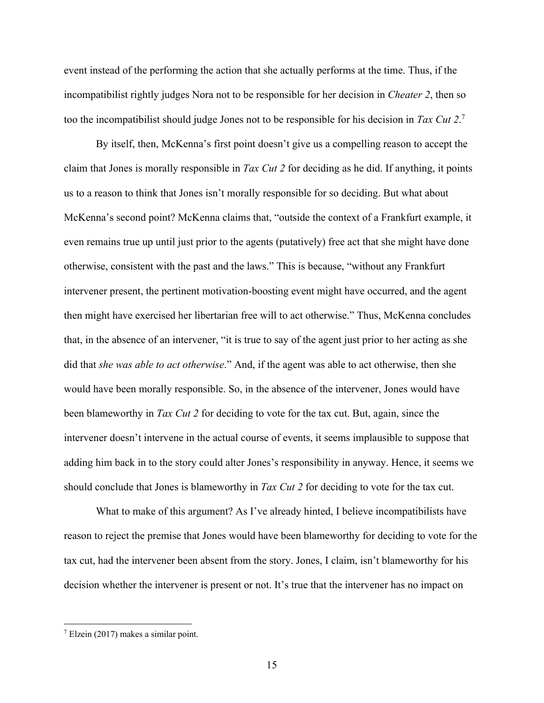event instead of the performing the action that she actually performs at the time. Thus, if the incompatibilist rightly judges Nora not to be responsible for her decision in *Cheater 2*, then so too the incompatibilist should judge Jones not to be responsible for his decision in *Tax Cut 2*. 7

By itself, then, McKenna's first point doesn't give us a compelling reason to accept the claim that Jones is morally responsible in *Tax Cut 2* for deciding as he did. If anything, it points us to a reason to think that Jones isn't morally responsible for so deciding. But what about McKenna's second point? McKenna claims that, "outside the context of a Frankfurt example, it even remains true up until just prior to the agents (putatively) free act that she might have done otherwise, consistent with the past and the laws." This is because, "without any Frankfurt intervener present, the pertinent motivation-boosting event might have occurred, and the agent then might have exercised her libertarian free will to act otherwise." Thus, McKenna concludes that, in the absence of an intervener, "it is true to say of the agent just prior to her acting as she did that *she was able to act otherwise*." And, if the agent was able to act otherwise, then she would have been morally responsible. So, in the absence of the intervener, Jones would have been blameworthy in *Tax Cut 2* for deciding to vote for the tax cut. But, again, since the intervener doesn't intervene in the actual course of events, it seems implausible to suppose that adding him back in to the story could alter Jones's responsibility in anyway. Hence, it seems we should conclude that Jones is blameworthy in *Tax Cut 2* for deciding to vote for the tax cut.

What to make of this argument? As I've already hinted, I believe incompatibilists have reason to reject the premise that Jones would have been blameworthy for deciding to vote for the tax cut, had the intervener been absent from the story. Jones, I claim, isn't blameworthy for his decision whether the intervener is present or not. It's true that the intervener has no impact on

<sup>7</sup> Elzein (2017) makes a similar point.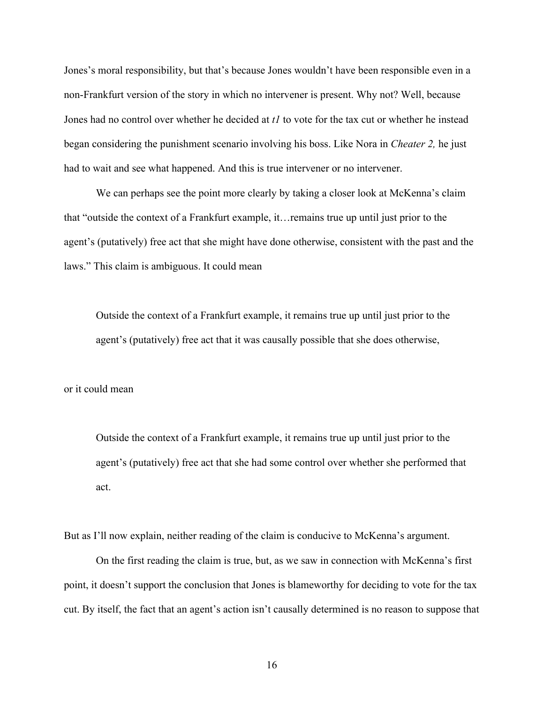Jones's moral responsibility, but that's because Jones wouldn't have been responsible even in a non-Frankfurt version of the story in which no intervener is present. Why not? Well, because Jones had no control over whether he decided at *t1* to vote for the tax cut or whether he instead began considering the punishment scenario involving his boss. Like Nora in *Cheater 2,* he just had to wait and see what happened. And this is true intervener or no intervener.

We can perhaps see the point more clearly by taking a closer look at McKenna's claim that "outside the context of a Frankfurt example, it…remains true up until just prior to the agent's (putatively) free act that she might have done otherwise, consistent with the past and the laws." This claim is ambiguous. It could mean

Outside the context of a Frankfurt example, it remains true up until just prior to the agent's (putatively) free act that it was causally possible that she does otherwise,

## or it could mean

Outside the context of a Frankfurt example, it remains true up until just prior to the agent's (putatively) free act that she had some control over whether she performed that act.

But as I'll now explain, neither reading of the claim is conducive to McKenna's argument.

On the first reading the claim is true, but, as we saw in connection with McKenna's first point, it doesn't support the conclusion that Jones is blameworthy for deciding to vote for the tax cut. By itself, the fact that an agent's action isn't causally determined is no reason to suppose that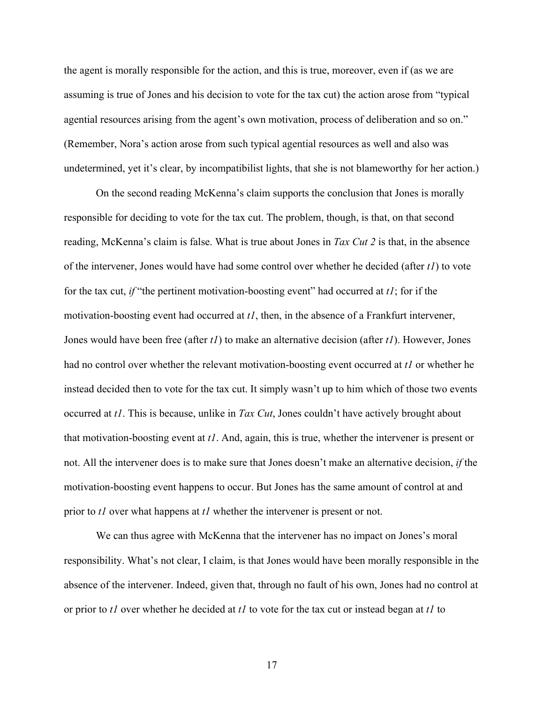the agent is morally responsible for the action, and this is true, moreover, even if (as we are assuming is true of Jones and his decision to vote for the tax cut) the action arose from "typical agential resources arising from the agent's own motivation, process of deliberation and so on." (Remember, Nora's action arose from such typical agential resources as well and also was undetermined, yet it's clear, by incompatibilist lights, that she is not blameworthy for her action.)

On the second reading McKenna's claim supports the conclusion that Jones is morally responsible for deciding to vote for the tax cut. The problem, though, is that, on that second reading, McKenna's claim is false. What is true about Jones in *Tax Cut 2* is that, in the absence of the intervener, Jones would have had some control over whether he decided (after *t1*) to vote for the tax cut, *if* "the pertinent motivation-boosting event" had occurred at *t1*; for if the motivation-boosting event had occurred at *t1*, then, in the absence of a Frankfurt intervener, Jones would have been free (after *t1*) to make an alternative decision (after *t1*). However, Jones had no control over whether the relevant motivation-boosting event occurred at *t1* or whether he instead decided then to vote for the tax cut. It simply wasn't up to him which of those two events occurred at *t1*. This is because, unlike in *Tax Cut*, Jones couldn't have actively brought about that motivation-boosting event at *t1*. And, again, this is true, whether the intervener is present or not. All the intervener does is to make sure that Jones doesn't make an alternative decision, *if* the motivation-boosting event happens to occur. But Jones has the same amount of control at and prior to *t1* over what happens at *t1* whether the intervener is present or not.

We can thus agree with McKenna that the intervener has no impact on Jones's moral responsibility. What's not clear, I claim, is that Jones would have been morally responsible in the absence of the intervener. Indeed, given that, through no fault of his own, Jones had no control at or prior to *t1* over whether he decided at *t1* to vote for the tax cut or instead began at *t1* to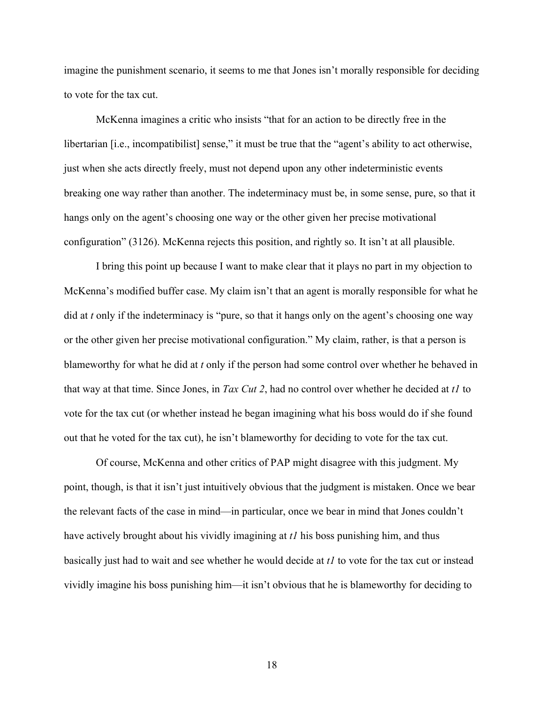imagine the punishment scenario, it seems to me that Jones isn't morally responsible for deciding to vote for the tax cut.

McKenna imagines a critic who insists "that for an action to be directly free in the libertarian [i.e., incompatibilist] sense," it must be true that the "agent's ability to act otherwise, just when she acts directly freely, must not depend upon any other indeterministic events breaking one way rather than another. The indeterminacy must be, in some sense, pure, so that it hangs only on the agent's choosing one way or the other given her precise motivational configuration" (3126). McKenna rejects this position, and rightly so. It isn't at all plausible.

I bring this point up because I want to make clear that it plays no part in my objection to McKenna's modified buffer case. My claim isn't that an agent is morally responsible for what he did at *t* only if the indeterminacy is "pure, so that it hangs only on the agent's choosing one way or the other given her precise motivational configuration." My claim, rather, is that a person is blameworthy for what he did at *t* only if the person had some control over whether he behaved in that way at that time. Since Jones, in *Tax Cut 2*, had no control over whether he decided at *t1* to vote for the tax cut (or whether instead he began imagining what his boss would do if she found out that he voted for the tax cut), he isn't blameworthy for deciding to vote for the tax cut.

Of course, McKenna and other critics of PAP might disagree with this judgment. My point, though, is that it isn't just intuitively obvious that the judgment is mistaken. Once we bear the relevant facts of the case in mind—in particular, once we bear in mind that Jones couldn't have actively brought about his vividly imagining at *t1* his boss punishing him, and thus basically just had to wait and see whether he would decide at *t1* to vote for the tax cut or instead vividly imagine his boss punishing him—it isn't obvious that he is blameworthy for deciding to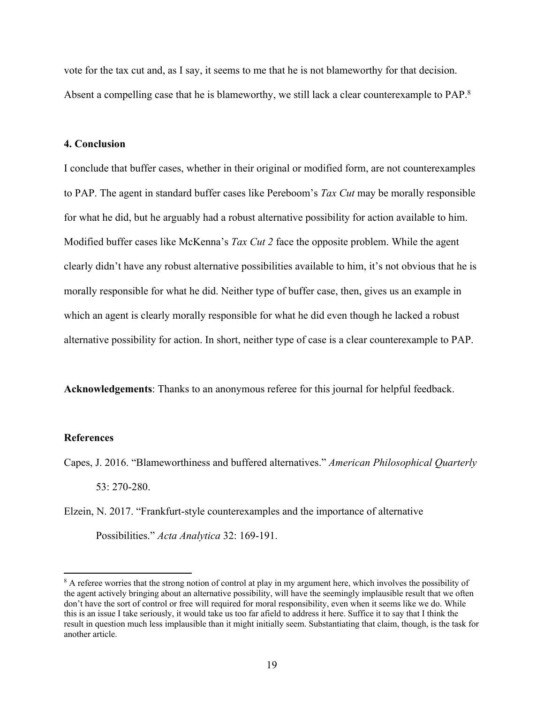vote for the tax cut and, as I say, it seems to me that he is not blameworthy for that decision. Absent a compelling case that he is blameworthy, we still lack a clear counterexample to PAP.<sup>8</sup>

# **4. Conclusion**

I conclude that buffer cases, whether in their original or modified form, are not counterexamples to PAP. The agent in standard buffer cases like Pereboom's *Tax Cut* may be morally responsible for what he did, but he arguably had a robust alternative possibility for action available to him. Modified buffer cases like McKenna's *Tax Cut 2* face the opposite problem. While the agent clearly didn't have any robust alternative possibilities available to him, it's not obvious that he is morally responsible for what he did. Neither type of buffer case, then, gives us an example in which an agent is clearly morally responsible for what he did even though he lacked a robust alternative possibility for action. In short, neither type of case is a clear counterexample to PAP.

**Acknowledgements**: Thanks to an anonymous referee for this journal for helpful feedback.

#### **References**

Capes, J. 2016. "Blameworthiness and buffered alternatives." *American Philosophical Quarterly* 53: 270-280.

Elzein, N. 2017. "Frankfurt-style counterexamples and the importance of alternative Possibilities." *Acta Analytica* 32: 169-191.

<sup>&</sup>lt;sup>8</sup> A referee worries that the strong notion of control at play in my argument here, which involves the possibility of the agent actively bringing about an alternative possibility, will have the seemingly implausible result that we often don't have the sort of control or free will required for moral responsibility, even when it seems like we do. While this is an issue I take seriously, it would take us too far afield to address it here. Suffice it to say that I think the result in question much less implausible than it might initially seem. Substantiating that claim, though, is the task for another article.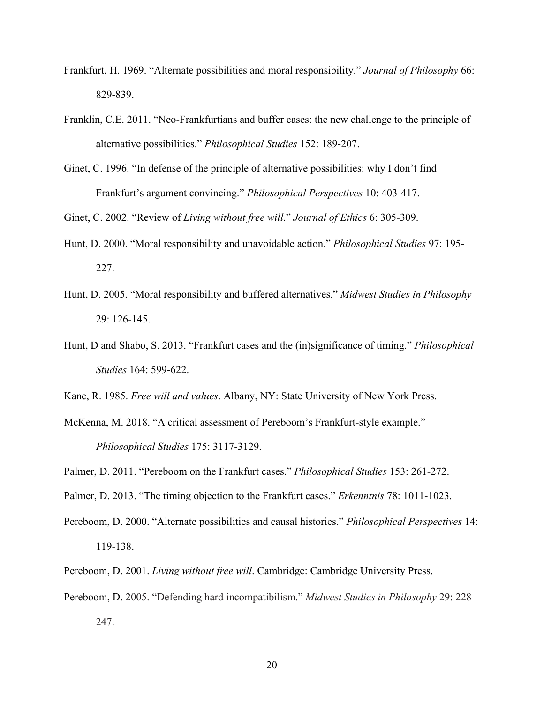- Frankfurt, H. 1969. "Alternate possibilities and moral responsibility." *Journal of Philosophy* 66: 829-839.
- Franklin, C.E. 2011. "Neo-Frankfurtians and buffer cases: the new challenge to the principle of alternative possibilities." *Philosophical Studies* 152: 189-207.
- Ginet, C. 1996. "In defense of the principle of alternative possibilities: why I don't find Frankfurt's argument convincing." *Philosophical Perspectives* 10: 403-417.

Ginet, C. 2002. "Review of *Living without free will*." *Journal of Ethics* 6: 305-309.

- Hunt, D. 2000. "Moral responsibility and unavoidable action." *Philosophical Studies* 97: 195- 227.
- Hunt, D. 2005. "Moral responsibility and buffered alternatives." *Midwest Studies in Philosophy* 29: 126-145.
- Hunt, D and Shabo, S. 2013. "Frankfurt cases and the (in)significance of timing." *Philosophical Studies* 164: 599-622.

Kane, R. 1985. *Free will and values*. Albany, NY: State University of New York Press.

McKenna, M. 2018. "A critical assessment of Pereboom's Frankfurt-style example." *Philosophical Studies* 175: 3117-3129.

- Palmer, D. 2013. "The timing objection to the Frankfurt cases." *Erkenntnis* 78: 1011-1023.
- Pereboom, D. 2000. "Alternate possibilities and causal histories." *Philosophical Perspectives* 14: 119-138.
- Pereboom, D. 2001. *Living without free will*. Cambridge: Cambridge University Press.
- Pereboom, D. 2005. "Defending hard incompatibilism." *Midwest Studies in Philosophy* 29: 228- 247.

Palmer, D. 2011. "Pereboom on the Frankfurt cases." *Philosophical Studies* 153: 261-272.